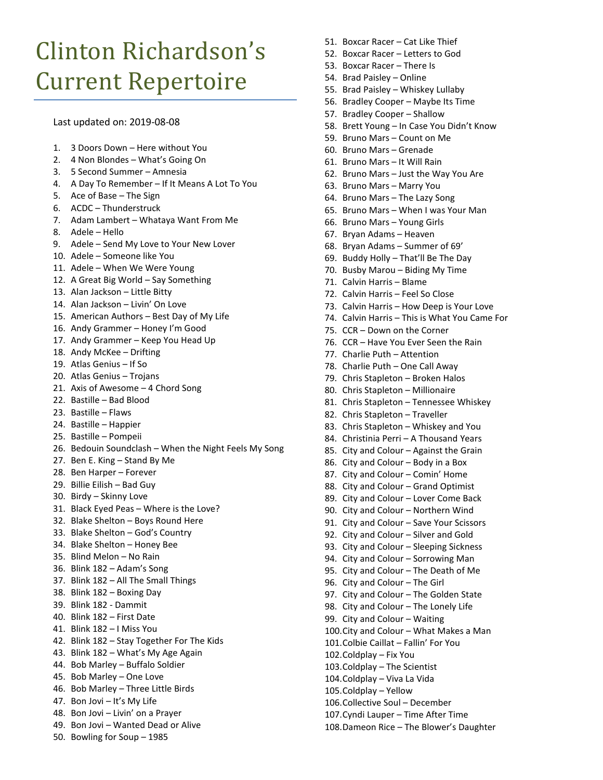## Clinton Richardson's Current Repertoire

Last updated on: 2019-08-08

- 1. 3 Doors Down Here without You
- 2. 4 Non Blondes What's Going On
- 3. 5 Second Summer Amnesia
- 4. A Day To Remember If It Means A Lot To You
- 5. Ace of Base The Sign
- 6. ACDC Thunderstruck
- 7. Adam Lambert Whataya Want From Me
- 8. Adele Hello
- 9. Adele Send My Love to Your New Lover
- 10. Adele Someone like You
- 11. Adele When We Were Young
- 12. A Great Big World Say Something
- 13. Alan Jackson Little Bitty
- 14. Alan Jackson Livin' On Love
- 15. American Authors Best Day of My Life
- 16. Andy Grammer Honey I'm Good
- 17. Andy Grammer Keep You Head Up
- 18. Andy McKee Drifting
- 19. Atlas Genius If So
- 20. Atlas Genius Trojans
- 21. Axis of Awesome 4 Chord Song
- 22. Bastille Bad Blood
- 23. Bastille Flaws
- 24. Bastille Happier
- 25. Bastille Pompeii
- 26. Bedouin Soundclash When the Night Feels My Song
- 27. Ben E. King Stand By Me
- 28. Ben Harper Forever
- 29. Billie Eilish Bad Guy
- 30. Birdy Skinny Love
- 31. Black Eyed Peas Where is the Love?
- 32. Blake Shelton Boys Round Here
- 33. Blake Shelton God's Country
- 34. Blake Shelton Honey Bee
- 35. Blind Melon No Rain
- 36. Blink 182 Adam's Song
- 37. Blink 182 All The Small Things
- 38. Blink 182 Boxing Day
- 39. Blink 182 Dammit
- 40. Blink 182 First Date
- 41. Blink 182 I Miss You
- 42. Blink 182 Stay Together For The Kids
- 43. Blink 182 What's My Age Again
- 44. Bob Marley Buffalo Soldier
- 45. Bob Marley One Love
- 46. Bob Marley Three Little Birds
- 47. Bon Jovi It's My Life
- 48. Bon Jovi Livin' on a Prayer
- 49. Bon Jovi Wanted Dead or Alive
- 50. Bowling for Soup 1985
- 51. Boxcar Racer Cat Like Thief
- 52. Boxcar Racer Letters to God
- 53. Boxcar Racer There Is
- 54. Brad Paisley Online
- 55. Brad Paisley Whiskey Lullaby
- 56. Bradley Cooper Maybe Its Time
- 57. Bradley Cooper Shallow
- 58. Brett Young In Case You Didn't Know
- 59. Bruno Mars Count on Me
- 60. Bruno Mars Grenade
- 61. Bruno Mars It Will Rain
- 62. Bruno Mars Just the Way You Are
- 63. Bruno Mars Marry You
- 64. Bruno Mars The Lazy Song
- 65. Bruno Mars When I was Your Man
- 66. Bruno Mars Young Girls
- 67. Bryan Adams Heaven
- 68. Bryan Adams Summer of 69'
- 69. Buddy Holly That'll Be The Day
- 70. Busby Marou Biding My Time
- 71. Calvin Harris Blame
- 72. Calvin Harris Feel So Close
- 73. Calvin Harris How Deep is Your Love
- 74. Calvin Harris This is What You Came For
- 75. CCR Down on the Corner
- 76. CCR Have You Ever Seen the Rain
- 77. Charlie Puth Attention
- 78. Charlie Puth One Call Away
- 79. Chris Stapleton Broken Halos
- 80. Chris Stapleton Millionaire
- 81. Chris Stapleton Tennessee Whiskey
- 82. Chris Stapleton Traveller
- 83. Chris Stapleton Whiskey and You
- 84. Christinia Perri A Thousand Years
- 85. City and Colour Against the Grain
- 86. City and Colour Body in a Box
- 87. City and Colour Comin' Home
- 88. City and Colour Grand Optimist
- 89. City and Colour Lover Come Back
- 90. City and Colour Northern Wind
- 91. City and Colour Save Your Scissors
- 92. City and Colour Silver and Gold
- 93. City and Colour Sleeping Sickness
- 94. City and Colour Sorrowing Man
- 95. City and Colour The Death of Me
- 96. City and Colour The Girl

99. City and Colour – Waiting

102.Coldplay – Fix You 103.Coldplay – The Scientist 104.Coldplay – Viva La Vida 105.Coldplay – Yellow

97. City and Colour – The Golden State

100.City and Colour – What Makes a Man

98. City and Colour - The Lonely Life

101.Colbie Caillat – Fallin' For You

106.Collective Soul – December 107.Cyndi Lauper – Time After Time 108.Dameon Rice – The Blower's Daughter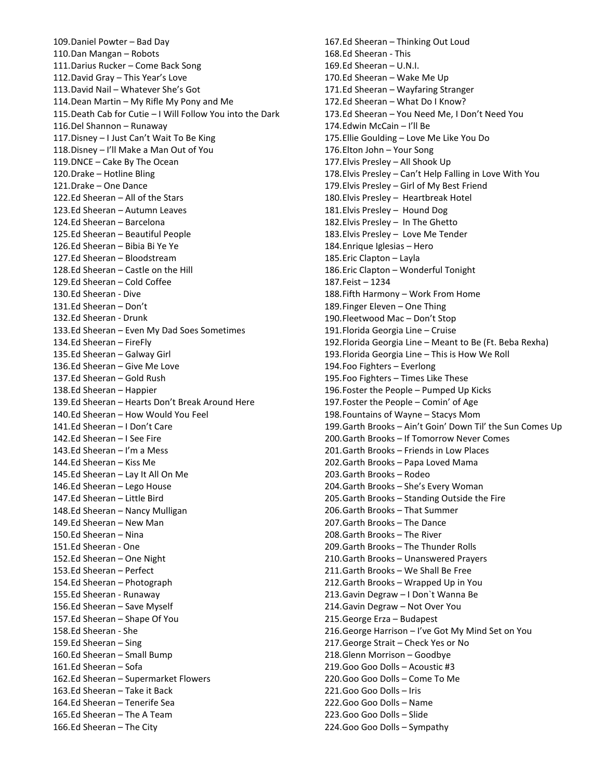109.Daniel Powter – Bad Day 110.Dan Mangan – Robots 111.Darius Rucker – Come Back Song 112.David Gray – This Year's Love 113.David Nail – Whatever She's Got 114.Dean Martin – My Rifle My Pony and Me 115.Death Cab for Cutie – I Will Follow You into the Dark 116.Del Shannon – Runaway 117.Disney – I Just Can't Wait To Be King 118.Disney – I'll Make a Man Out of You 119.DNCE – Cake By The Ocean 120.Drake – Hotline Bling 121.Drake – One Dance 122.Ed Sheeran – All of the Stars 123.Ed Sheeran – Autumn Leaves 124.Ed Sheeran – Barcelona 125.Ed Sheeran – Beautiful People 126.Ed Sheeran – Bibia Bi Ye Ye 127.Ed Sheeran – Bloodstream 128.Ed Sheeran – Castle on the Hill 129.Ed Sheeran – Cold Coffee 130.Ed Sheeran - Dive 131.Ed Sheeran – Don't 132.Ed Sheeran - Drunk 133.Ed Sheeran – Even My Dad Soes Sometimes 134.Ed Sheeran – FireFly 135.Ed Sheeran – Galway Girl 136.Ed Sheeran – Give Me Love 137.Ed Sheeran – Gold Rush 138.Ed Sheeran – Happier 139.Ed Sheeran – Hearts Don't Break Around Here 140.Ed Sheeran – How Would You Feel 141.Ed Sheeran – I Don't Care 142.Ed Sheeran – I See Fire 143.Ed Sheeran – I'm a Mess 144.Ed Sheeran – Kiss Me 145.Ed Sheeran – Lay It All On Me 146.Ed Sheeran – Lego House 147.Ed Sheeran – Little Bird 148.Ed Sheeran – Nancy Mulligan 149.Ed Sheeran – New Man 150.Ed Sheeran – Nina 151.Ed Sheeran - One 152.Ed Sheeran – One Night 153.Ed Sheeran – Perfect 154.Ed Sheeran – Photograph 155.Ed Sheeran - Runaway 156.Ed Sheeran – Save Myself 157.Ed Sheeran – Shape Of You 158.Ed Sheeran - She 159.Ed Sheeran – Sing 160.Ed Sheeran – Small Bump 161.Ed Sheeran – Sofa 162.Ed Sheeran – Supermarket Flowers 163.Ed Sheeran – Take it Back 164.Ed Sheeran – Tenerife Sea 165.Ed Sheeran – The A Team 166.Ed Sheeran – The City

167.Ed Sheeran – Thinking Out Loud 168.Ed Sheeran - This 169.Ed Sheeran – U.N.I. 170.Ed Sheeran – Wake Me Up 171.Ed Sheeran – Wayfaring Stranger 172.Ed Sheeran – What Do I Know? 173.Ed Sheeran – You Need Me, I Don't Need You 174.Edwin McCain – I'll Be 175.Ellie Goulding – Love Me Like You Do 176.Elton John – Your Song 177.Elvis Presley – All Shook Up 178.Elvis Presley – Can't Help Falling in Love With You 179.Elvis Presley – Girl of My Best Friend 180.Elvis Presley – Heartbreak Hotel 181.Elvis Presley – Hound Dog 182.Elvis Presley – In The Ghetto 183.Elvis Presley – Love Me Tender 184.Enrique Iglesias – Hero 185.Eric Clapton – Layla 186.Eric Clapton – Wonderful Tonight 187.Feist – 1234 188.Fifth Harmony – Work From Home 189.Finger Eleven – One Thing 190.Fleetwood Mac – Don't Stop 191.Florida Georgia Line – Cruise 192.Florida Georgia Line – Meant to Be (Ft. Beba Rexha) 193.Florida Georgia Line – This is How We Roll 194.Foo Fighters – Everlong 195.Foo Fighters – Times Like These 196.Foster the People – Pumped Up Kicks 197.Foster the People – Comin' of Age 198.Fountains of Wayne – Stacys Mom 199.Garth Brooks – Ain't Goin' Down Til' the Sun Comes Up 200.Garth Brooks – If Tomorrow Never Comes 201.Garth Brooks – Friends in Low Places 202.Garth Brooks – Papa Loved Mama 203.Garth Brooks – Rodeo 204.Garth Brooks – She's Every Woman 205.Garth Brooks – Standing Outside the Fire 206.Garth Brooks – That Summer 207.Garth Brooks – The Dance 208.Garth Brooks – The River 209.Garth Brooks – The Thunder Rolls 210.Garth Brooks – Unanswered Prayers 211.Garth Brooks – We Shall Be Free 212.Garth Brooks – Wrapped Up in You 213.Gavin Degraw – I Don`t Wanna Be 214.Gavin Degraw – Not Over You 215.George Erza – Budapest 216.George Harrison – I've Got My Mind Set on You 217.George Strait – Check Yes or No 218.Glenn Morrison – Goodbye 219.Goo Goo Dolls – Acoustic #3 220.Goo Goo Dolls – Come To Me 221.Goo Goo Dolls – Iris 222.Goo Goo Dolls – Name 223.Goo Goo Dolls – Slide 224.Goo Goo Dolls – Sympathy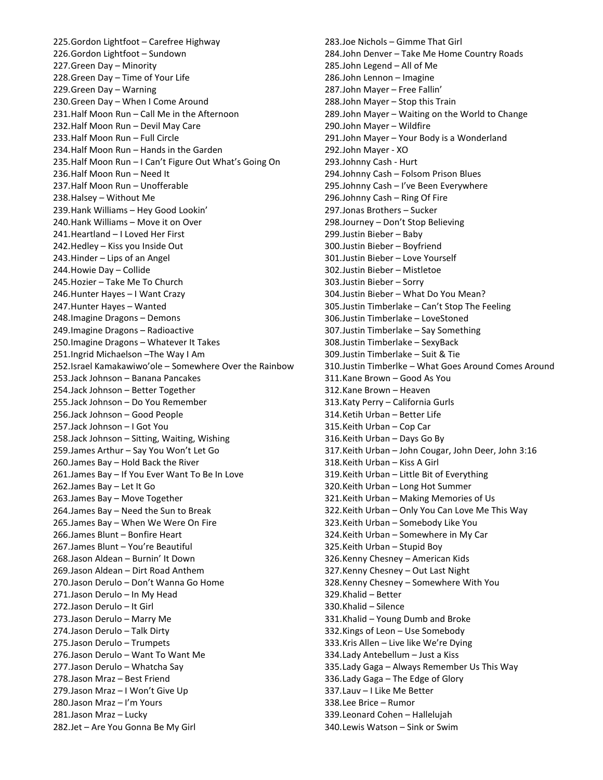225.Gordon Lightfoot – Carefree Highway 226.Gordon Lightfoot – Sundown 227.Green Day – Minority 228.Green Day – Time of Your Life 229.Green Day – Warning 230.Green Day – When I Come Around 231.Half Moon Run – Call Me in the Afternoon 232.Half Moon Run – Devil May Care 233.Half Moon Run – Full Circle 234.Half Moon Run – Hands in the Garden 235.Half Moon Run – I Can't Figure Out What's Going On 236.Half Moon Run – Need It 237.Half Moon Run – Unofferable 238.Halsey – Without Me 239.Hank Williams – Hey Good Lookin' 240.Hank Williams – Move it on Over 241.Heartland – I Loved Her First 242.Hedley – Kiss you Inside Out 243.Hinder – Lips of an Angel 244.Howie Day – Collide 245.Hozier – Take Me To Church 246.Hunter Hayes – I Want Crazy 247.Hunter Hayes – Wanted 248.Imagine Dragons – Demons 249.Imagine Dragons – Radioactive 250.Imagine Dragons – Whatever It Takes 251.Ingrid Michaelson –The Way I Am 252.Israel Kamakawiwo'ole – Somewhere Over the Rainbow 253.Jack Johnson – Banana Pancakes 254.Jack Johnson – Better Together 255.Jack Johnson – Do You Remember 256.Jack Johnson – Good People 257.Jack Johnson – I Got You 258.Jack Johnson – Sitting, Waiting, Wishing 259.James Arthur – Say You Won't Let Go 260.James Bay – Hold Back the River 261.James Bay – If You Ever Want To Be In Love 262.James Bay – Let It Go 263.James Bay – Move Together 264.James Bay – Need the Sun to Break 265.James Bay – When We Were On Fire 266.James Blunt – Bonfire Heart 267.James Blunt – You're Beautiful 268.Jason Aldean – Burnin' It Down 269.Jason Aldean – Dirt Road Anthem 270.Jason Derulo – Don't Wanna Go Home 271.Jason Derulo – In My Head 272.Jason Derulo – It Girl 273.Jason Derulo – Marry Me 274.Jason Derulo – Talk Dirty 275.Jason Derulo – Trumpets 276.Jason Derulo – Want To Want Me 277.Jason Derulo – Whatcha Say 278.Jason Mraz – Best Friend 279.Jason Mraz – I Won't Give Up 280.Jason Mraz – I'm Yours 281.Jason Mraz – Lucky 282.Jet – Are You Gonna Be My Girl

283.Joe Nichols – Gimme That Girl 284.John Denver – Take Me Home Country Roads 285.John Legend – All of Me 286.John Lennon – Imagine 287.John Mayer – Free Fallin' 288.John Mayer – Stop this Train 289.John Mayer – Waiting on the World to Change 290.John Mayer – Wildfire 291.John Mayer – Your Body is a Wonderland 292.John Mayer - XO 293.Johnny Cash - Hurt 294.Johnny Cash – Folsom Prison Blues 295.Johnny Cash – I've Been Everywhere 296.Johnny Cash – Ring Of Fire 297.Jonas Brothers – Sucker 298.Journey – Don't Stop Believing 299.Justin Bieber – Baby 300.Justin Bieber – Boyfriend 301.Justin Bieber – Love Yourself 302.Justin Bieber – Mistletoe 303.Justin Bieber – Sorry 304.Justin Bieber – What Do You Mean? 305.Justin Timberlake – Can't Stop The Feeling 306.Justin Timberlake – LoveStoned 307.Justin Timberlake – Say Something 308.Justin Timberlake – SexyBack 309.Justin Timberlake – Suit & Tie 310.Justin Timberlke – What Goes Around Comes Around 311.Kane Brown – Good As You 312.Kane Brown – Heaven 313.Katy Perry – California Gurls 314.Ketih Urban – Better Life 315.Keith Urban – Cop Car 316.Keith Urban – Days Go By 317.Keith Urban – John Cougar, John Deer, John 3:16 318.Keith Urban – Kiss A Girl 319.Keith Urban – Little Bit of Everything 320.Keith Urban – Long Hot Summer 321.Keith Urban – Making Memories of Us 322.Keith Urban – Only You Can Love Me This Way 323.Keith Urban – Somebody Like You 324.Keith Urban – Somewhere in My Car 325.Keith Urban – Stupid Boy 326.Kenny Chesney – American Kids 327.Kenny Chesney – Out Last Night 328.Kenny Chesney – Somewhere With You 329.Khalid – Better 330.Khalid – Silence 331.Khalid – Young Dumb and Broke 332.Kings of Leon – Use Somebody 333.Kris Allen – Live like We're Dying 334.Lady Antebellum – Just a Kiss 335.Lady Gaga – Always Remember Us This Way 336.Lady Gaga – The Edge of Glory 337.Lauv – I Like Me Better 338.Lee Brice – Rumor 339.Leonard Cohen – Hallelujah 340.Lewis Watson – Sink or Swim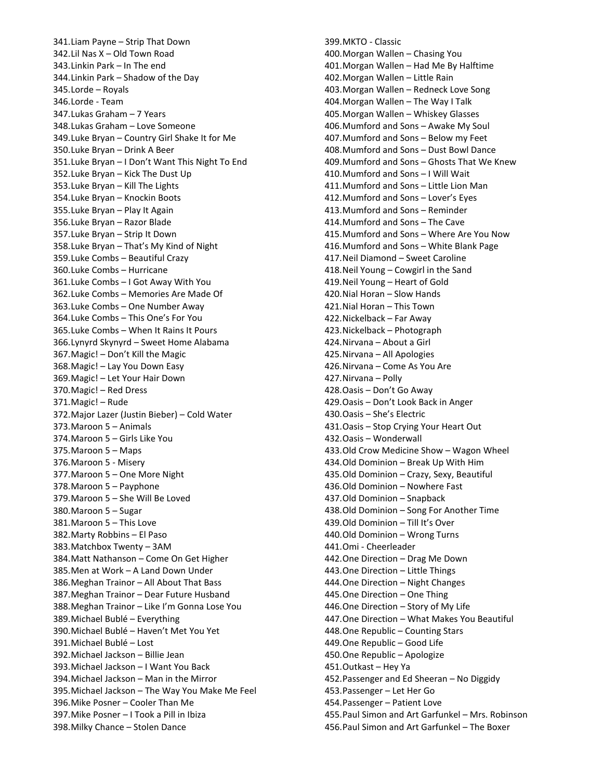341.Liam Payne – Strip That Down 342.Lil Nas X – Old Town Road 343.Linkin Park – In The end 344.Linkin Park – Shadow of the Day 345.Lorde – Royals 346.Lorde - Team 347.Lukas Graham – 7 Years 348.Lukas Graham – Love Someone 349.Luke Bryan – Country Girl Shake It for Me 350.Luke Bryan – Drink A Beer 351.Luke Bryan – I Don't Want This Night To End 352.Luke Bryan – Kick The Dust Up 353.Luke Bryan – Kill The Lights 354.Luke Bryan – Knockin Boots 355.Luke Bryan – Play It Again 356.Luke Bryan – Razor Blade 357.Luke Bryan – Strip It Down 358.Luke Bryan – That's My Kind of Night 359.Luke Combs – Beautiful Crazy 360.Luke Combs – Hurricane 361.Luke Combs – I Got Away With You 362.Luke Combs – Memories Are Made Of 363.Luke Combs – One Number Away 364.Luke Combs – This One's For You 365.Luke Combs – When It Rains It Pours 366.Lynyrd Skynyrd – Sweet Home Alabama 367.Magic! – Don't Kill the Magic 368.Magic! – Lay You Down Easy 369.Magic! – Let Your Hair Down 370.Magic! – Red Dress 371.Magic! – Rude 372.Major Lazer (Justin Bieber) – Cold Water 373.Maroon 5 – Animals 374.Maroon 5 – Girls Like You 375.Maroon 5 – Maps 376.Maroon 5 - Misery 377.Maroon 5 – One More Night 378.Maroon 5 – Payphone 379.Maroon 5 – She Will Be Loved 380.Maroon 5 – Sugar 381.Maroon 5 – This Love 382.Marty Robbins – El Paso 383.Matchbox Twenty – 3AM 384.Matt Nathanson – Come On Get Higher 385.Men at Work – A Land Down Under 386.Meghan Trainor – All About That Bass 387.Meghan Trainor – Dear Future Husband 388.Meghan Trainor – Like I'm Gonna Lose You 389.Michael Bublé – Everything 390.Michael Bublé – Haven't Met You Yet 391.Michael Bublé – Lost 392.Michael Jackson – Billie Jean 393.Michael Jackson – I Want You Back 394.Michael Jackson – Man in the Mirror 395.Michael Jackson – The Way You Make Me Feel 396.Mike Posner – Cooler Than Me 397.Mike Posner – I Took a Pill in Ibiza 398.Milky Chance – Stolen Dance

399.MKTO - Classic 400.Morgan Wallen – Chasing You 401.Morgan Wallen – Had Me By Halftime 402.Morgan Wallen – Little Rain 403.Morgan Wallen – Redneck Love Song 404.Morgan Wallen – The Way I Talk 405.Morgan Wallen – Whiskey Glasses 406.Mumford and Sons – Awake My Soul 407.Mumford and Sons – Below my Feet 408.Mumford and Sons – Dust Bowl Dance 409.Mumford and Sons – Ghosts That We Knew 410.Mumford and Sons – I Will Wait 411.Mumford and Sons – Little Lion Man 412.Mumford and Sons – Lover's Eyes 413.Mumford and Sons – Reminder 414.Mumford and Sons – The Cave 415.Mumford and Sons – Where Are You Now 416.Mumford and Sons – White Blank Page 417.Neil Diamond – Sweet Caroline 418.Neil Young – Cowgirl in the Sand 419.Neil Young – Heart of Gold 420.Nial Horan – Slow Hands 421.Nial Horan – This Town 422.Nickelback – Far Away 423.Nickelback – Photograph 424.Nirvana – About a Girl 425.Nirvana – All Apologies 426.Nirvana – Come As You Are 427.Nirvana – Polly 428.Oasis – Don't Go Away 429.Oasis – Don't Look Back in Anger 430.Oasis – She's Electric 431.Oasis – Stop Crying Your Heart Out 432.Oasis – Wonderwall 433.Old Crow Medicine Show – Wagon Wheel 434.Old Dominion – Break Up With Him 435.Old Dominion – Crazy, Sexy, Beautiful 436.Old Dominion – Nowhere Fast 437.Old Dominion – Snapback 438.Old Dominion – Song For Another Time 439.Old Dominion – Till It's Over 440.Old Dominion – Wrong Turns 441.Omi - Cheerleader 442.One Direction – Drag Me Down 443.One Direction – Little Things 444.One Direction – Night Changes 445.One Direction – One Thing 446.One Direction – Story of My Life 447.One Direction – What Makes You Beautiful 448.One Republic – Counting Stars 449.One Republic – Good Life 450.One Republic – Apologize 451.Outkast – Hey Ya 452.Passenger and Ed Sheeran – No Diggidy 453.Passenger – Let Her Go 454.Passenger – Patient Love 455.Paul Simon and Art Garfunkel – Mrs. Robinson 456.Paul Simon and Art Garfunkel – The Boxer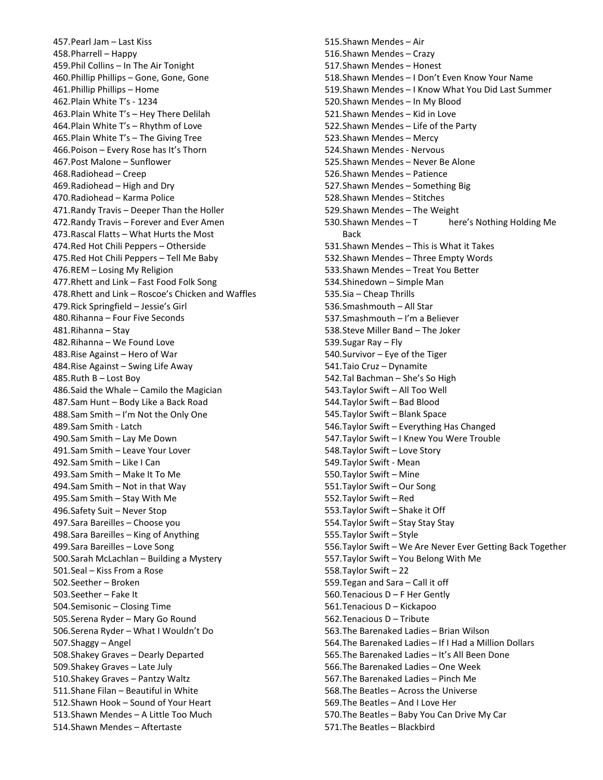457.Pearl Jam – Last Kiss 458.Pharrell – Happy 459.Phil Collins – In The Air Tonight 460.Phillip Phillips – Gone, Gone, Gone 461.Phillip Phillips – Home 462.Plain White T's - 1234 463.Plain White T's – Hey There Delilah 464.Plain White T's – Rhythm of Love 465.Plain White T's – The Giving Tree 466.Poison – Every Rose has It's Thorn 467.Post Malone – Sunflower 468.Radiohead – Creep 469.Radiohead – High and Dry 470.Radiohead – Karma Police 471.Randy Travis – Deeper Than the Holler 472.Randy Travis – Forever and Ever Amen 473.Rascal Flatts – What Hurts the Most 474.Red Hot Chili Peppers – Otherside 475.Red Hot Chili Peppers – Tell Me Baby 476.REM – Losing My Religion 477.Rhett and Link – Fast Food Folk Song 478.Rhett and Link – Roscoe's Chicken and Waffles 479.Rick Springfield – Jessie's Girl 480.Rihanna – Four Five Seconds 481.Rihanna – Stay 482.Rihanna – We Found Love 483.Rise Against – Hero of War 484.Rise Against – Swing Life Away 485.Ruth B – Lost Boy 486.Said the Whale – Camilo the Magician 487.Sam Hunt – Body Like a Back Road 488.Sam Smith – I'm Not the Only One 489.Sam Smith - Latch 490.Sam Smith – Lay Me Down 491.Sam Smith – Leave Your Lover 492.Sam Smith – Like I Can 493.Sam Smith – Make It To Me 494.Sam Smith – Not in that Way 495.Sam Smith – Stay With Me 496.Safety Suit – Never Stop 497.Sara Bareilles – Choose you 498.Sara Bareilles – King of Anything 499.Sara Bareilles – Love Song 500.Sarah McLachlan – Building a Mystery 501.Seal – Kiss From a Rose 502.Seether – Broken 503.Seether – Fake It 504.Semisonic – Closing Time 505.Serena Ryder – Mary Go Round 506.Serena Ryder – What I Wouldn't Do 507.Shaggy – Angel 508.Shakey Graves – Dearly Departed 509.Shakey Graves – Late July 510.Shakey Graves – Pantzy Waltz 511.Shane Filan – Beautiful in White 512.Shawn Hook – Sound of Your Heart 513.Shawn Mendes – A Little Too Much 514.Shawn Mendes – Aftertaste

515.Shawn Mendes – Air 516.Shawn Mendes – Crazy 517.Shawn Mendes – Honest 518.Shawn Mendes – I Don't Even Know Your Name 519.Shawn Mendes – I Know What You Did Last Summer 520.Shawn Mendes – In My Blood 521.Shawn Mendes – Kid in Love 522.Shawn Mendes – Life of the Party 523.Shawn Mendes – Mercy 524.Shawn Mendes - Nervous 525.Shawn Mendes – Never Be Alone 526.Shawn Mendes – Patience 527.Shawn Mendes – Something Big 528.Shawn Mendes – Stitches 529.Shawn Mendes – The Weight 530. Shawn Mendes - T here's Nothing Holding Me Back 531.Shawn Mendes – This is What it Takes 532.Shawn Mendes – Three Empty Words 533.Shawn Mendes – Treat You Better 534.Shinedown – Simple Man 535.Sia – Cheap Thrills 536.Smashmouth – All Star 537.Smashmouth – I'm a Believer 538.Steve Miller Band – The Joker 539.Sugar Ray – Fly 540.Survivor – Eye of the Tiger 541.Taio Cruz – Dynamite 542.Tal Bachman – She's So High 543.Taylor Swift – All Too Well 544.Taylor Swift – Bad Blood 545.Taylor Swift – Blank Space 546.Taylor Swift – Everything Has Changed 547.Taylor Swift – I Knew You Were Trouble 548.Taylor Swift – Love Story 549.Taylor Swift - Mean 550.Taylor Swift – Mine 551.Taylor Swift – Our Song 552.Taylor Swift – Red 553.Taylor Swift – Shake it Off 554.Taylor Swift – Stay Stay Stay 555.Taylor Swift – Style 556.Taylor Swift – We Are Never Ever Getting Back Together 557.Taylor Swift – You Belong With Me 558.Taylor Swift – 22 559.Tegan and Sara – Call it off 560.Tenacious D – F Her Gently 561.Tenacious D – Kickapoo 562.Tenacious D – Tribute 563.The Barenaked Ladies – Brian Wilson 564.The Barenaked Ladies – If I Had a Million Dollars 565.The Barenaked Ladies – It's All Been Done 566.The Barenaked Ladies – One Week 567.The Barenaked Ladies – Pinch Me 568.The Beatles – Across the Universe 569.The Beatles – And I Love Her 570.The Beatles – Baby You Can Drive My Car 571.The Beatles – Blackbird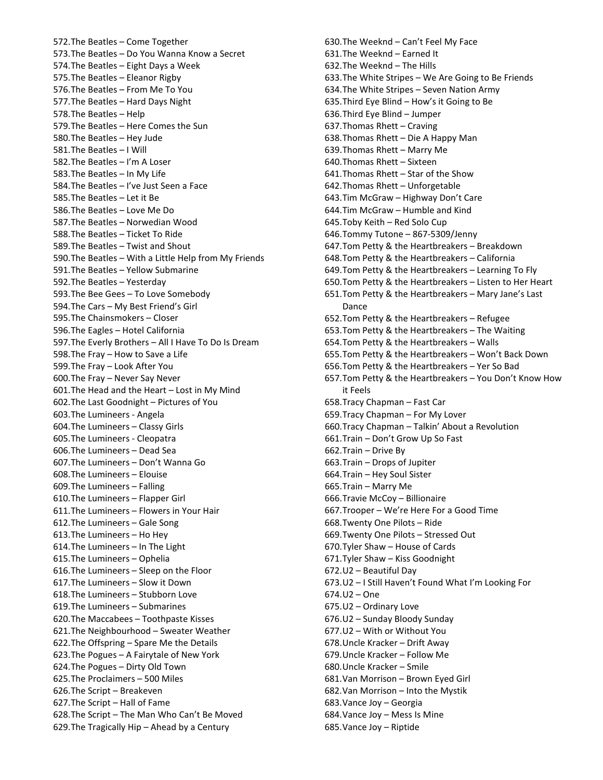572.The Beatles – Come Together 573.The Beatles – Do You Wanna Know a Secret 574.The Beatles – Eight Days a Week 575.The Beatles – Eleanor Rigby 576.The Beatles – From Me To You 577.The Beatles – Hard Days Night 578.The Beatles – Help 579.The Beatles – Here Comes the Sun 580.The Beatles – Hey Jude 581.The Beatles – I Will 582.The Beatles – I'm A Loser 583.The Beatles – In My Life 584.The Beatles – I've Just Seen a Face 585.The Beatles – Let it Be 586.The Beatles – Love Me Do 587.The Beatles – Norwedian Wood 588.The Beatles – Ticket To Ride 589.The Beatles – Twist and Shout 590.The Beatles – With a Little Help from My Friends 591.The Beatles – Yellow Submarine 592.The Beatles – Yesterday 593.The Bee Gees – To Love Somebody 594.The Cars – My Best Friend's Girl 595.The Chainsmokers – Closer 596.The Eagles – Hotel California 597.The Everly Brothers – All I Have To Do Is Dream 598.The Fray – How to Save a Life 599.The Fray – Look After You 600.The Fray – Never Say Never 601.The Head and the Heart – Lost in My Mind 602.The Last Goodnight – Pictures of You 603.The Lumineers - Angela 604.The Lumineers – Classy Girls 605.The Lumineers - Cleopatra 606.The Lumineers – Dead Sea 607.The Lumineers – Don't Wanna Go 608.The Lumineers – Elouise 609.The Lumineers – Falling 610.The Lumineers – Flapper Girl 611.The Lumineers – Flowers in Your Hair 612.The Lumineers – Gale Song 613.The Lumineers – Ho Hey 614.The Lumineers – In The Light 615.The Lumineers – Ophelia 616.The Lumineers – Sleep on the Floor 617.The Lumineers – Slow it Down 618.The Lumineers – Stubborn Love 619.The Lumineers – Submarines 620.The Maccabees – Toothpaste Kisses 621.The Neighbourhood – Sweater Weather 622.The Offspring – Spare Me the Details 623.The Pogues – A Fairytale of New York 624.The Pogues – Dirty Old Town 625.The Proclaimers – 500 Miles 626.The Script – Breakeven 627.The Script – Hall of Fame 628.The Script – The Man Who Can't Be Moved 629.The Tragically Hip – Ahead by a Century

630.The Weeknd – Can't Feel My Face 631.The Weeknd – Earned It 632.The Weeknd – The Hills 633.The White Stripes – We Are Going to Be Friends 634.The White Stripes – Seven Nation Army 635.Third Eye Blind – How's it Going to Be 636.Third Eye Blind – Jumper 637.Thomas Rhett – Craving 638.Thomas Rhett – Die A Happy Man 639.Thomas Rhett – Marry Me 640.Thomas Rhett – Sixteen 641.Thomas Rhett – Star of the Show 642.Thomas Rhett – Unforgetable 643.Tim McGraw – Highway Don't Care 644.Tim McGraw – Humble and Kind 645.Toby Keith – Red Solo Cup 646.Tommy Tutone – 867-5309/Jenny 647.Tom Petty & the Heartbreakers – Breakdown 648.Tom Petty & the Heartbreakers – California 649.Tom Petty & the Heartbreakers – Learning To Fly 650.Tom Petty & the Heartbreakers – Listen to Her Heart 651.Tom Petty & the Heartbreakers – Mary Jane's Last Dance 652.Tom Petty & the Heartbreakers – Refugee 653.Tom Petty & the Heartbreakers – The Waiting 654.Tom Petty & the Heartbreakers – Walls 655.Tom Petty & the Heartbreakers – Won't Back Down 656.Tom Petty & the Heartbreakers – Yer So Bad 657.Tom Petty & the Heartbreakers – You Don't Know How it Feels 658.Tracy Chapman – Fast Car 659.Tracy Chapman – For My Lover 660.Tracy Chapman – Talkin' About a Revolution 661.Train – Don't Grow Up So Fast 662.Train – Drive By 663.Train – Drops of Jupiter 664.Train – Hey Soul Sister 665.Train – Marry Me 666.Travie McCoy – Billionaire 667.Trooper – We're Here For a Good Time 668.Twenty One Pilots – Ride 669.Twenty One Pilots – Stressed Out 670.Tyler Shaw – House of Cards 671.Tyler Shaw – Kiss Goodnight 672.U2 – Beautiful Day 673.U2 – I Still Haven't Found What I'm Looking For 674.U2 – One 675.U2 – Ordinary Love 676.U2 – Sunday Bloody Sunday 677.U2 – With or Without You 678.Uncle Kracker – Drift Away 679.Uncle Kracker – Follow Me 680.Uncle Kracker – Smile 681.Van Morrison – Brown Eyed Girl 682.Van Morrison – Into the Mystik 683.Vance Joy – Georgia 684.Vance Joy – Mess Is Mine 685.Vance Joy – Riptide